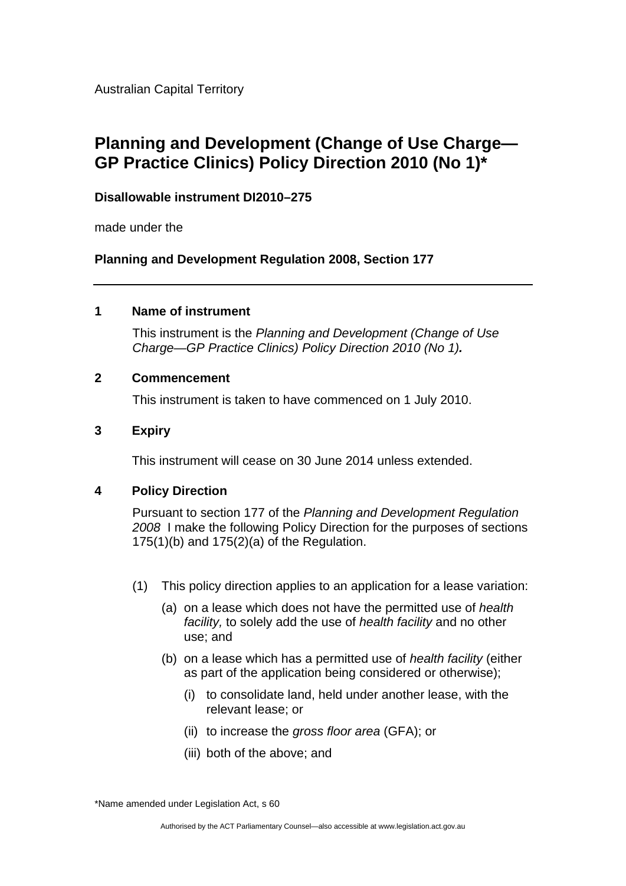Australian Capital Territory

# **Planning and Development (Change of Use Charge— GP Practice Clinics) Policy Direction 2010 (No 1)\***

# **Disallowable instrument DI2010–275**

made under the

**Planning and Development Regulation 2008, Section 177** 

### **1 Name of instrument**

This instrument is the *Planning and Development (Change of Use Charge—GP Practice Clinics) Policy Direction 2010 (No 1).*

# **2 Commencement**

This instrument is taken to have commenced on 1 July 2010.

# **3 Expiry**

This instrument will cease on 30 June 2014 unless extended.

### **4 Policy Direction**

Pursuant to section 177 of the *Planning and Development Regulation 2008* I make the following Policy Direction for the purposes of sections  $175(1)(b)$  and  $175(2)(a)$  of the Regulation.

- (1) This policy direction applies to an application for a lease variation:
	- (a) on a lease which does not have the permitted use of *health facility,* to solely add the use of *health facility* and no other use; and
	- (b) on a lease which has a permitted use of *health facility* (either as part of the application being considered or otherwise);
		- (i) to consolidate land, held under another lease, with the relevant lease; or
		- (ii) to increase the *gross floor area* (GFA); or
		- (iii) both of the above; and

\*Name amended under Legislation Act, s 60